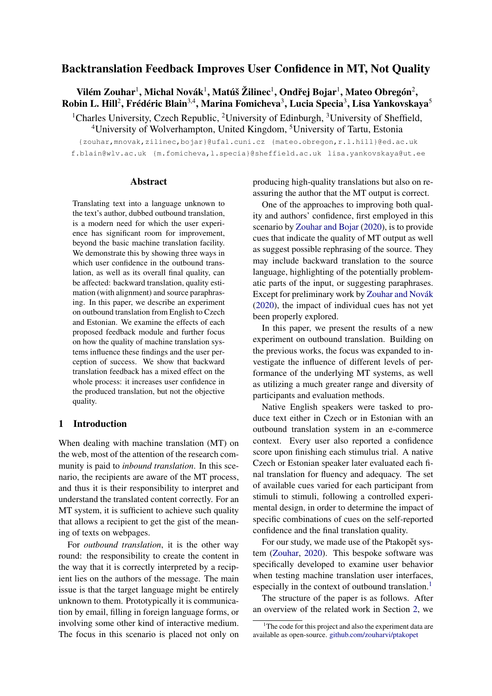# Backtranslation Feedback Improves User Confidence in MT, Not Quality

Vilém Zouhar $^1$ , Michal Novák $^1$ , Matúš Žilinec $^1$ , Ondřej Bojar $^1$ , Mateo Obregón $^2$ , Robin L. Hill<sup>2</sup>, Frédéric Blain $^{3,4}$ , Marina Fomicheva $^3$ , Lucia Specia $^3$ , Lisa Yankovskaya $^5$ 

<sup>1</sup>Charles University, Czech Republic, <sup>2</sup>University of Edinburgh, <sup>3</sup>University of Sheffield, <sup>4</sup>University of Wolverhampton, United Kingdom, <sup>5</sup>University of Tartu, Estonia

{zouhar,mnovak,zilinec,bojar}@ufal.cuni.cz {mateo.obregon,r.l.hill}@ed.ac.uk f.blain@wlv.ac.uk {m.fomicheva,l.specia}@sheffield.ac.uk lisa.yankovskaya@ut.ee

### **Abstract**

Translating text into a language unknown to the text's author, dubbed outbound translation, is a modern need for which the user experience has significant room for improvement, beyond the basic machine translation facility. We demonstrate this by showing three ways in which user confidence in the outbound translation, as well as its overall final quality, can be affected: backward translation, quality estimation (with alignment) and source paraphrasing. In this paper, we describe an experiment on outbound translation from English to Czech and Estonian. We examine the effects of each proposed feedback module and further focus on how the quality of machine translation systems influence these findings and the user perception of success. We show that backward translation feedback has a mixed effect on the whole process: it increases user confidence in the produced translation, but not the objective quality.

## 1 Introduction

When dealing with machine translation (MT) on the web, most of the attention of the research community is paid to *inbound translation*. In this scenario, the recipients are aware of the MT process, and thus it is their responsibility to interpret and understand the translated content correctly. For an MT system, it is sufficient to achieve such quality that allows a recipient to get the gist of the meaning of texts on webpages.

For *outbound translation*, it is the other way round: the responsibility to create the content in the way that it is correctly interpreted by a recipient lies on the authors of the message. The main issue is that the target language might be entirely unknown to them. Prototypically it is communication by email, filling in foreign language forms, or involving some other kind of interactive medium. The focus in this scenario is placed not only on producing high-quality translations but also on reassuring the author that the MT output is correct.

One of the approaches to improving both quality and authors' confidence, first employed in this scenario by [Zouhar and Bojar](#page-10-0) [\(2020\)](#page-10-0), is to provide cues that indicate the quality of MT output as well as suggest possible rephrasing of the source. They may include backward translation to the source language, highlighting of the potentially problematic parts of the input, or suggesting paraphrases. Except for preliminary work by [Zouhar and Novák](#page-10-1) [\(2020\)](#page-10-1), the impact of individual cues has not yet been properly explored.

In this paper, we present the results of a new experiment on outbound translation. Building on the previous works, the focus was expanded to investigate the influence of different levels of performance of the underlying MT systems, as well as utilizing a much greater range and diversity of participants and evaluation methods.

Native English speakers were tasked to produce text either in Czech or in Estonian with an outbound translation system in an e-commerce context. Every user also reported a confidence score upon finishing each stimulus trial. A native Czech or Estonian speaker later evaluated each final translation for fluency and adequacy. The set of available cues varied for each participant from stimuli to stimuli, following a controlled experimental design, in order to determine the impact of specific combinations of cues on the self-reported confidence and the final translation quality.

For our study, we made use of the Ptakopet system [\(Zouhar,](#page-10-2) [2020\)](#page-10-2). This bespoke software was specifically developed to examine user behavior when testing machine translation user interfaces, especially in the context of outbound translation.<sup>[1](#page-0-0)</sup>

The structure of the paper is as follows. After an overview of the related work in Section [2,](#page-1-0) we

<span id="page-0-0"></span> $1$ <sup>1</sup>The code for this project and also the experiment data are available as open-source. [github.com/zouharvi/ptakopet](https://github.com/zouharvi/ptakopet)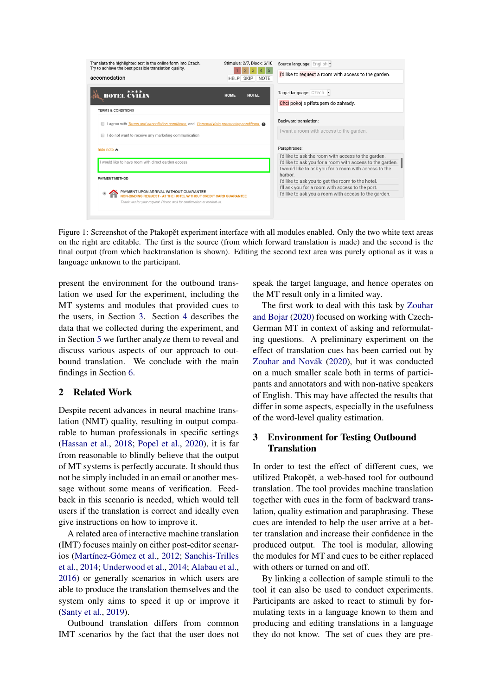<span id="page-1-2"></span>

Figure 1: Screenshot of the Ptakopět experiment interface with all modules enabled. Only the two white text areas on the right are editable. The first is the source (from which forward translation is made) and the second is the final output (from which backtranslation is shown). Editing the second text area was purely optional as it was a language unknown to the participant.

present the environment for the outbound translation we used for the experiment, including the MT systems and modules that provided cues to the users, in Section [3.](#page-1-1) Section [4](#page-4-0) describes the data that we collected during the experiment, and in Section [5](#page-4-1) we further analyze them to reveal and discuss various aspects of our approach to outbound translation. We conclude with the main findings in Section [6.](#page-8-0)

## <span id="page-1-0"></span>2 Related Work

Despite recent advances in neural machine translation (NMT) quality, resulting in output comparable to human professionals in specific settings [\(Hassan et al.,](#page-9-0) [2018;](#page-9-0) [Popel et al.,](#page-10-3) [2020\)](#page-10-3), it is far from reasonable to blindly believe that the output of MT systems is perfectly accurate. It should thus not be simply included in an email or another message without some means of verification. Feedback in this scenario is needed, which would tell users if the translation is correct and ideally even give instructions on how to improve it.

A related area of interactive machine translation (IMT) focuses mainly on either post-editor scenarios [\(Martínez-Gómez et al.,](#page-9-1) [2012;](#page-9-1) [Sanchis-Trilles](#page-10-4) [et al.,](#page-10-4) [2014;](#page-10-4) [Underwood et al.,](#page-10-5) [2014;](#page-10-5) [Alabau et al.,](#page-9-2) [2016\)](#page-9-2) or generally scenarios in which users are able to produce the translation themselves and the system only aims to speed it up or improve it [\(Santy et al.,](#page-10-6) [2019\)](#page-10-6).

Outbound translation differs from common IMT scenarios by the fact that the user does not speak the target language, and hence operates on the MT result only in a limited way.

The first work to deal with this task by [Zouhar](#page-10-0) [and Bojar](#page-10-0) [\(2020\)](#page-10-0) focused on working with Czech-German MT in context of asking and reformulating questions. A preliminary experiment on the effect of translation cues has been carried out by [Zouhar and Novák](#page-10-1) [\(2020\)](#page-10-1), but it was conducted on a much smaller scale both in terms of participants and annotators and with non-native speakers of English. This may have affected the results that differ in some aspects, especially in the usefulness of the word-level quality estimation.

# <span id="page-1-1"></span>3 Environment for Testing Outbound **Translation**

In order to test the effect of different cues, we utilized Ptakopět, a web-based tool for outbound translation. The tool provides machine translation together with cues in the form of backward translation, quality estimation and paraphrasing. These cues are intended to help the user arrive at a better translation and increase their confidence in the produced output. The tool is modular, allowing the modules for MT and cues to be either replaced with others or turned on and off.

By linking a collection of sample stimuli to the tool it can also be used to conduct experiments. Participants are asked to react to stimuli by formulating texts in a language known to them and producing and editing translations in a language they do not know. The set of cues they are pre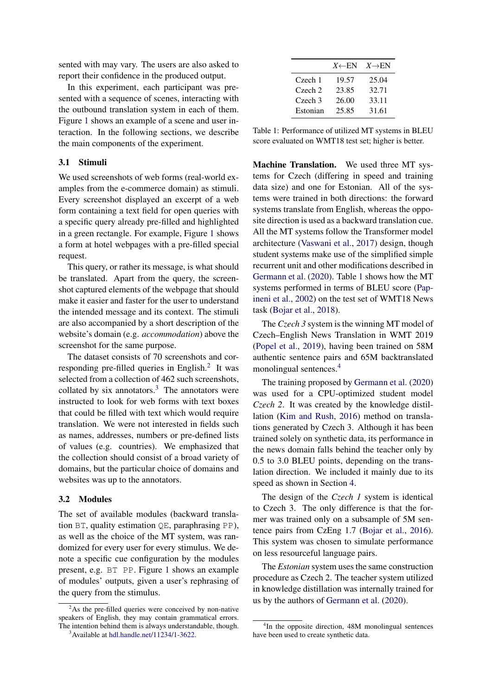sented with may vary. The users are also asked to report their confidence in the produced output.

In this experiment, each participant was presented with a sequence of scenes, interacting with the outbound translation system in each of them. Figure [1](#page-1-2) shows an example of a scene and user interaction. In the following sections, we describe the main components of the experiment.

## 3.1 Stimuli

We used screenshots of web forms (real-world examples from the e-commerce domain) as stimuli. Every screenshot displayed an excerpt of a web form containing a text field for open queries with a specific query already pre-filled and highlighted in a green rectangle. For example, Figure [1](#page-1-2) shows a form at hotel webpages with a pre-filled special request.

This query, or rather its message, is what should be translated. Apart from the query, the screenshot captured elements of the webpage that should make it easier and faster for the user to understand the intended message and its context. The stimuli are also accompanied by a short description of the website's domain (e.g. *accommodation*) above the screenshot for the same purpose.

The dataset consists of 70 screenshots and cor-responding pre-filled queries in English.<sup>[2](#page-2-0)</sup> It was selected from a collection of 462 such screenshots, collated by six annotators. $3$  The annotators were instructed to look for web forms with text boxes that could be filled with text which would require translation. We were not interested in fields such as names, addresses, numbers or pre-defined lists of values (e.g. countries). We emphasized that the collection should consist of a broad variety of domains, but the particular choice of domains and websites was up to the annotators.

#### 3.2 Modules

The set of available modules (backward translation BT, quality estimation QE, paraphrasing PP), as well as the choice of the MT system, was randomized for every user for every stimulus. We denote a specific cue configuration by the modules present, e.g. BT PP. Figure [1](#page-1-2) shows an example of modules' outputs, given a user's rephrasing of the query from the stimulus.

<span id="page-2-2"></span>

|                    | $X \leftarrow EN$ | $X \rightarrow EN$ |
|--------------------|-------------------|--------------------|
| Czech 1            | 19.57             | 25.04              |
| $C$ zech $2$       | 23.85             | 32.71              |
| Czech <sub>3</sub> | 26.00             | 33.11              |
| Estonian           | 25.85             | 31.61              |

Table 1: Performance of utilized MT systems in BLEU score evaluated on WMT18 test set; higher is better.

Machine Translation. We used three MT systems for Czech (differing in speed and training data size) and one for Estonian. All of the systems were trained in both directions: the forward systems translate from English, whereas the opposite direction is used as a backward translation cue. All the MT systems follow the Transformer model architecture [\(Vaswani et al.,](#page-10-7) [2017\)](#page-10-7) design, though student systems make use of the simplified simple recurrent unit and other modifications described in [Germann et al.](#page-9-3) [\(2020\)](#page-9-3). Table [1](#page-2-2) shows how the MT systems performed in terms of BLEU score [\(Pap](#page-10-8)[ineni et al.,](#page-10-8) [2002\)](#page-10-8) on the test set of WMT18 News task [\(Bojar et al.,](#page-9-4) [2018\)](#page-9-4).

The *Czech 3* system is the winning MT model of Czech–English News Translation in WMT 2019 [\(Popel et al.,](#page-10-9) [2019\)](#page-10-9), having been trained on 58M authentic sentence pairs and 65M backtranslated monolingual sentences.[4](#page-2-3)

The training proposed by [Germann et al.](#page-9-3) [\(2020\)](#page-9-3) was used for a CPU-optimized student model *Czech 2*. It was created by the knowledge distillation [\(Kim and Rush,](#page-9-5) [2016\)](#page-9-5) method on translations generated by Czech 3. Although it has been trained solely on synthetic data, its performance in the news domain falls behind the teacher only by 0.5 to 3.0 BLEU points, depending on the translation direction. We included it mainly due to its speed as shown in Section [4.](#page-4-0)

The design of the *Czech 1* system is identical to Czech 3. The only difference is that the former was trained only on a subsample of 5M sentence pairs from CzEng 1.7 [\(Bojar et al.,](#page-9-6) [2016\)](#page-9-6). This system was chosen to simulate performance on less resourceful language pairs.

The *Estonian* system uses the same construction procedure as Czech 2. The teacher system utilized in knowledge distillation was internally trained for us by the authors of [Germann et al.](#page-9-3) [\(2020\)](#page-9-3).

<span id="page-2-0"></span> $2$ As the pre-filled queries were conceived by non-native speakers of English, they may contain grammatical errors. The intention behind them is always understandable, though.

<span id="page-2-1"></span><sup>3</sup>Available at [hdl.handle.net/11234/1-3622.](http://hdl.handle.net/11234/1-3622)

<span id="page-2-3"></span><sup>4</sup> In the opposite direction, 48M monolingual sentences have been used to create synthetic data.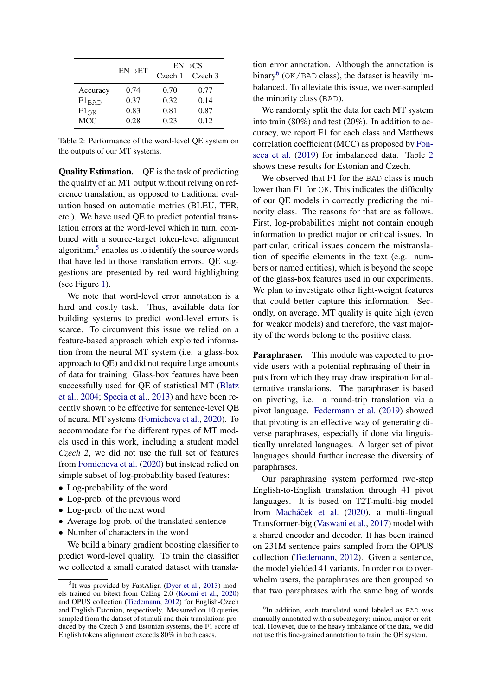<span id="page-3-2"></span>

|                  |                     | $EN \rightarrow CS$ |         |  |
|------------------|---------------------|---------------------|---------|--|
|                  | $EN \rightarrow ET$ | Czech 1             | Czech 3 |  |
| Accuracy         | 0.74                | 0.70                | 0.77    |  |
| $F1_{BAD}$       | 0.37                | 0.32                | 0.14    |  |
| $F1_{\text{OK}}$ | 0.83                | 0.81                | 0.87    |  |
| <b>MCC</b>       | 0.28                | 0.23                | 0.12    |  |

Table 2: Performance of the word-level QE system on the outputs of our MT systems.

Quality Estimation. QE is the task of predicting the quality of an MT output without relying on reference translation, as opposed to traditional evaluation based on automatic metrics (BLEU, TER, etc.). We have used QE to predict potential translation errors at the word-level which in turn, combined with a source-target token-level alignment algorithm,<sup>[5](#page-3-0)</sup> enables us to identify the source words that have led to those translation errors. QE suggestions are presented by red word highlighting (see Figure [1\)](#page-1-2).

We note that word-level error annotation is a hard and costly task. Thus, available data for building systems to predict word-level errors is scarce. To circumvent this issue we relied on a feature-based approach which exploited information from the neural MT system (i.e. a glass-box approach to QE) and did not require large amounts of data for training. Glass-box features have been successfully used for QE of statistical MT [\(Blatz](#page-9-7) [et al.,](#page-9-7) [2004;](#page-9-7) [Specia et al.,](#page-10-10) [2013\)](#page-10-10) and have been recently shown to be effective for sentence-level QE of neural MT systems [\(Fomicheva et al.,](#page-9-8) [2020\)](#page-9-8). To accommodate for the different types of MT models used in this work, including a student model *Czech 2*, we did not use the full set of features from [Fomicheva et al.](#page-9-8) [\(2020\)](#page-9-8) but instead relied on simple subset of log-probability based features:

- Log-probability of the word
- Log-prob. of the previous word
- Log-prob. of the next word
- Average log-prob. of the translated sentence
- Number of characters in the word

We build a binary gradient boosting classifier to predict word-level quality. To train the classifier we collected a small curated dataset with translation error annotation. Although the annotation is binary<sup>[6](#page-3-1)</sup> (OK/BAD class), the dataset is heavily imbalanced. To alleviate this issue, we over-sampled the minority class (BAD).

We randomly split the data for each MT system into train (80%) and test (20%). In addition to accuracy, we report F1 for each class and Matthews correlation coefficient (MCC) as proposed by [Fon](#page-9-11)[seca et al.](#page-9-11) [\(2019\)](#page-9-11) for imbalanced data. Table [2](#page-3-2) shows these results for Estonian and Czech.

We observed that F1 for the BAD class is much lower than F1 for OK. This indicates the difficulty of our QE models in correctly predicting the minority class. The reasons for that are as follows. First, log-probabilities might not contain enough information to predict major or critical issues. In particular, critical issues concern the mistranslation of specific elements in the text (e.g. numbers or named entities), which is beyond the scope of the glass-box features used in our experiments. We plan to investigate other light-weight features that could better capture this information. Secondly, on average, MT quality is quite high (even for weaker models) and therefore, the vast majority of the words belong to the positive class.

Paraphraser. This module was expected to provide users with a potential rephrasing of their inputs from which they may draw inspiration for alternative translations. The paraphraser is based on pivoting, i.e. a round-trip translation via a pivot language. [Federmann et al.](#page-9-12) [\(2019\)](#page-9-12) showed that pivoting is an effective way of generating diverse paraphrases, especially if done via linguistically unrelated languages. A larger set of pivot languages should further increase the diversity of paraphrases.

Our paraphrasing system performed two-step English-to-English translation through 41 pivot languages. It is based on T2T-multi-big model from Macháček et al. [\(2020\)](#page-9-13), a multi-lingual Transformer-big [\(Vaswani et al.,](#page-10-7) [2017\)](#page-10-7) model with a shared encoder and decoder. It has been trained on 231M sentence pairs sampled from the OPUS collection [\(Tiedemann,](#page-10-11) [2012\)](#page-10-11). Given a sentence, the model yielded 41 variants. In order not to overwhelm users, the paraphrases are then grouped so that two paraphrases with the same bag of words

<span id="page-3-0"></span><sup>&</sup>lt;sup>5</sup>It was provided by FastAlign [\(Dyer et al.,](#page-9-9) [2013\)](#page-9-9) models trained on bitext from CzEng 2.0 [\(Kocmi et al.,](#page-9-10) [2020\)](#page-9-10) and OPUS collection [\(Tiedemann,](#page-10-11) [2012\)](#page-10-11) for English-Czech and English-Estonian, respectively. Measured on 10 queries sampled from the dataset of stimuli and their translations produced by the Czech 3 and Estonian systems, the F1 score of English tokens alignment exceeds 80% in both cases.

<span id="page-3-1"></span><sup>6</sup> In addition, each translated word labeled as BAD was manually annotated with a subcategory: minor, major or critical. However, due to the heavy imbalance of the data, we did not use this fine-grained annotation to train the QE system.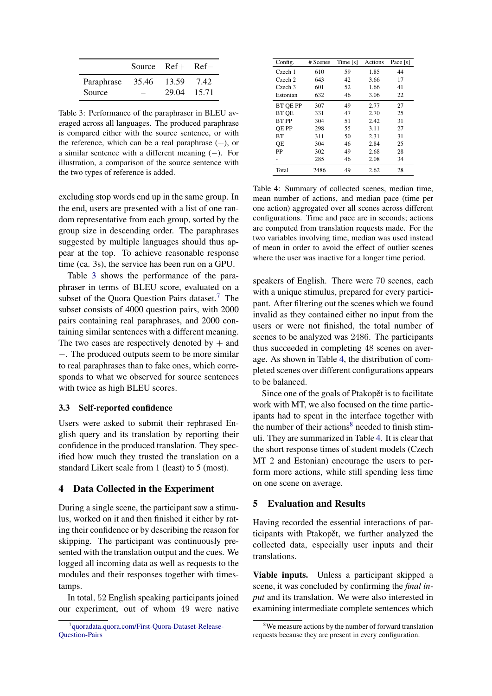<span id="page-4-2"></span>

|            | Source Ref+ Ref- |       |       |
|------------|------------------|-------|-------|
| Paraphrase | 35.46            | 13.59 | 7.42  |
| Source     |                  | 29.04 | 15.71 |

Table 3: Performance of the paraphraser in BLEU averaged across all languages. The produced paraphrase is compared either with the source sentence, or with the reference, which can be a real paraphrase  $(+)$ , or a similar sentence with a different meaning  $(-)$ . For illustration, a comparison of the source sentence with the two types of reference is added.

excluding stop words end up in the same group. In the end, users are presented with a list of one random representative from each group, sorted by the group size in descending order. The paraphrases suggested by multiple languages should thus appear at the top. To achieve reasonable response time (ca. 3s), the service has been run on a GPU.

Table [3](#page-4-2) shows the performance of the paraphraser in terms of BLEU score, evaluated on a subset of the Quora Question Pairs dataset.<sup>[7](#page-4-3)</sup> The subset consists of 4000 question pairs, with 2000 pairs containing real paraphrases, and 2000 containing similar sentences with a different meaning. The two cases are respectively denoted by  $+$  and −. The produced outputs seem to be more similar to real paraphrases than to fake ones, which corresponds to what we observed for source sentences with twice as high BLEU scores.

#### 3.3 Self-reported confidence

Users were asked to submit their rephrased English query and its translation by reporting their confidence in the produced translation. They specified how much they trusted the translation on a standard Likert scale from 1 (least) to 5 (most).

### <span id="page-4-0"></span>4 Data Collected in the Experiment

During a single scene, the participant saw a stimulus, worked on it and then finished it either by rating their confidence or by describing the reason for skipping. The participant was continuously presented with the translation output and the cues. We logged all incoming data as well as requests to the modules and their responses together with timestamps.

In total, 52 English speaking participants joined our experiment, out of whom 49 were native

<span id="page-4-4"></span>

| Config.      | # Scenes | Time [s] | Actions | Pace [s] |
|--------------|----------|----------|---------|----------|
| Czech 1      | 610      | 59       | 1.85    | 44       |
| Czech 2      | 643      | 42       | 3.66    | 17       |
| Czech 3      | 601      | 52       | 1.66    | 41       |
| Estonian     | 632      | 46       | 3.06    | 22       |
| BT QE PP     | 307      | 49       | 2.77    | 27       |
| <b>BT OE</b> | 331      | 47       | 2.70    | 25       |
| BT PP        | 304      | 51       | 2.42    | 31       |
| OE PP        | 298      | 55       | 3.11    | 27       |
| <b>BT</b>    | 311      | 50       | 2.31    | 31       |
| OЕ           | 304      | 46       | 2.84    | 25       |
| PP           | 302      | 49       | 2.68    | 28       |
|              | 285      | 46       | 2.08    | 34       |
| Total        | 2486     | 49       | 2.62    | 28       |

Table 4: Summary of collected scenes, median time, mean number of actions, and median pace (time per one action) aggregated over all scenes across different configurations. Time and pace are in seconds; actions are computed from translation requests made. For the two variables involving time, median was used instead of mean in order to avoid the effect of outlier scenes where the user was inactive for a longer time period.

speakers of English. There were 70 scenes, each with a unique stimulus, prepared for every participant. After filtering out the scenes which we found invalid as they contained either no input from the users or were not finished, the total number of scenes to be analyzed was 2486. The participants thus succeeded in completing 48 scenes on average. As shown in Table [4,](#page-4-4) the distribution of completed scenes over different configurations appears to be balanced.

Since one of the goals of Ptakopet is to facilitate work with MT, we also focused on the time participants had to spent in the interface together with the number of their actions<sup>[8](#page-4-5)</sup> needed to finish stimuli. They are summarized in Table [4.](#page-4-4) It is clear that the short response times of student models (Czech MT 2 and Estonian) encourage the users to perform more actions, while still spending less time on one scene on average.

# <span id="page-4-1"></span>5 Evaluation and Results

Having recorded the essential interactions of participants with Ptakopět, we further analyzed the collected data, especially user inputs and their translations.

Viable inputs. Unless a participant skipped a scene, it was concluded by confirming the *final input* and its translation. We were also interested in examining intermediate complete sentences which

<span id="page-4-3"></span><sup>7</sup> [quoradata.quora.com/First-Quora-Dataset-Release-](https://www.quora.com/q/quoradata/First-Quora-Dataset-Release-Question-Pairs)[Question-Pairs](https://www.quora.com/q/quoradata/First-Quora-Dataset-Release-Question-Pairs)

<span id="page-4-5"></span><sup>&</sup>lt;sup>8</sup>We measure actions by the number of forward translation requests because they are present in every configuration.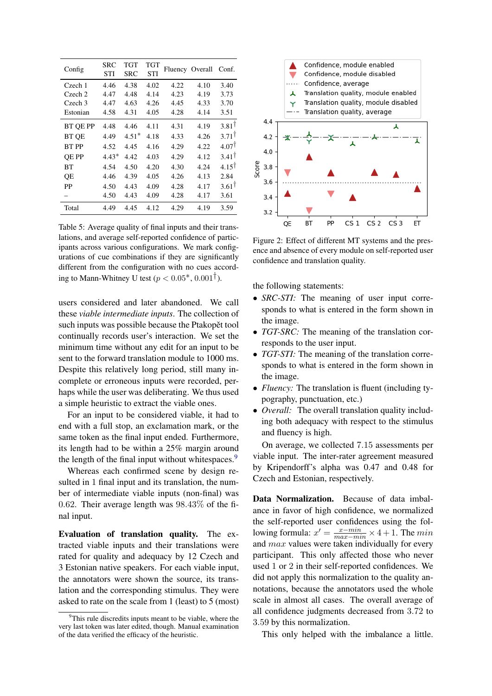<span id="page-5-1"></span>

| Config             | SRC<br><b>STI</b> | TGT<br><b>SRC</b> | TGT<br><b>STI</b> | Fluency Overall |      | Conf.             |
|--------------------|-------------------|-------------------|-------------------|-----------------|------|-------------------|
| Czech 1            | 4.46              | 4.38              | 4.02              | 4.22            | 4.10 | 3.40              |
| Czech 2            | 4.47              | 4.48              | 4.14              | 4.23            | 4.19 | 3.73              |
| Czech <sub>3</sub> | 4.47              | 4.63              | 4.26              | 4.45            | 4.33 | 3.70              |
| Estonian           | 4.58              | 4.31              | 4.05              | 4.28            | 4.14 | 3.51              |
| <b>BT OE PP</b>    | 4.48              | 4.46              | 4.11              | 4.31            | 4.19 | $3.81^{\dagger}$  |
| <b>BT OE</b>       | 4.49              | $4.51*$           | 4.18              | 4.33            | 4.26 | $3.71^{\dagger}$  |
| BT PP              | 4.52              | 4.45              | 4.16              | 4.29            | 4.22 | 4.07 <sup>†</sup> |
| <b>OE PP</b>       | $4.43*$           | 4.42              | 4.03              | 4.29            | 4.12 | $3.41^{\dagger}$  |
| BТ                 | 4.54              | 4.50              | 4.20              | 4.30            | 4.24 | $4.15^{\dagger}$  |
| QE                 | 4.46              | 4.39              | 4.05              | 4.26            | 4.13 | 2.84              |
| <b>PP</b>          | 4.50              | 4.43              | 4.09              | 4.28            | 4.17 | $3.61^{\dagger}$  |
|                    | 4.50              | 4.43              | 4.09              | 4.28            | 4.17 | 3.61              |
| Total              | 4.49              | 4.45              | 4.12              | 4.29            | 4.19 | 3.59              |

Table 5: Average quality of final inputs and their translations, and average self-reported confidence of participants across various configurations. We mark configurations of cue combinations if they are significantly different from the configuration with no cues according to Mann-Whitney U test ( $p < 0.05^*$ ,  $0.001^{\dagger}$ ).

users considered and later abandoned. We call these *viable intermediate inputs*. The collection of such inputs was possible because the Ptakopet tool continually records user's interaction. We set the minimum time without any edit for an input to be sent to the forward translation module to 1000 ms. Despite this relatively long period, still many incomplete or erroneous inputs were recorded, perhaps while the user was deliberating. We thus used a simple heuristic to extract the viable ones.

For an input to be considered viable, it had to end with a full stop, an exclamation mark, or the same token as the final input ended. Furthermore, its length had to be within a 25% margin around the length of the final input without whitespaces.<sup>[9](#page-5-0)</sup>

Whereas each confirmed scene by design resulted in 1 final input and its translation, the number of intermediate viable inputs (non-final) was 0.62. Their average length was 98.43% of the final input.

Evaluation of translation quality. The extracted viable inputs and their translations were rated for quality and adequacy by 12 Czech and 3 Estonian native speakers. For each viable input, the annotators were shown the source, its translation and the corresponding stimulus. They were asked to rate on the scale from 1 (least) to 5 (most)

<span id="page-5-2"></span>

Figure 2: Effect of different MT systems and the presence and absence of every module on self-reported user confidence and translation quality.

the following statements:

- *SRC-STI:* The meaning of user input corresponds to what is entered in the form shown in the image.
- *TGT-SRC:* The meaning of the translation corresponds to the user input.
- *TGT-STI:* The meaning of the translation corresponds to what is entered in the form shown in the image.
- *Fluency:* The translation is fluent (including typography, punctuation, etc.)
- *Overall:* The overall translation quality including both adequacy with respect to the stimulus and fluency is high.

On average, we collected 7.15 assessments per viable input. The inter-rater agreement measured by Kripendorff's alpha was 0.47 and 0.48 for Czech and Estonian, respectively.

Data Normalization. Because of data imbalance in favor of high confidence, we normalized the self-reported user confidences using the following formula:  $x' = \frac{x - min}{max - min} \times 4 + 1$ . The min and max values were taken individually for every participant. This only affected those who never used 1 or 2 in their self-reported confidences. We did not apply this normalization to the quality annotations, because the annotators used the whole scale in almost all cases. The overall average of all confidence judgments decreased from 3.72 to 3.59 by this normalization.

This only helped with the imbalance a little.

<span id="page-5-0"></span> $9$ This rule discredits inputs meant to be viable, where the very last token was later edited, though. Manual examination of the data verified the efficacy of the heuristic.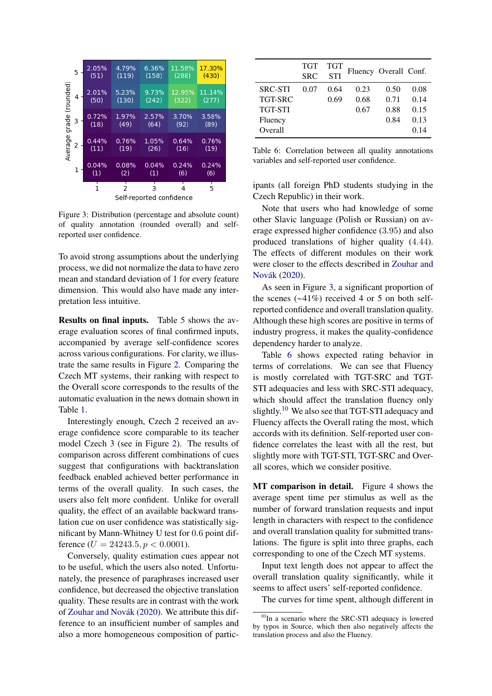<span id="page-6-0"></span>

Figure 3: Distribution (percentage and absolute count) of quality annotation (rounded overall) and selfreported user confidence.

To avoid strong assumptions about the underlying process, we did not normalize the data to have zero mean and standard deviation of 1 for every feature dimension. This would also have made any interpretation less intuitive.

Results on final inputs. Table [5](#page-5-1) shows the average evaluation scores of final confirmed inputs, accompanied by average self-confidence scores across various configurations. For clarity, we illustrate the same results in Figure [2.](#page-5-2) Comparing the Czech MT systems, their ranking with respect to the Overall score corresponds to the results of the automatic evaluation in the news domain shown in Table [1.](#page-2-2)

Interestingly enough, Czech 2 received an average confidence score comparable to its teacher model Czech 3 (see in Figure [2\)](#page-5-2). The results of comparison across different combinations of cues suggest that configurations with backtranslation feedback enabled achieved better performance in terms of the overall quality. In such cases, the users also felt more confident. Unlike for overall quality, the effect of an available backward translation cue on user confidence was statistically significant by Mann-Whitney U test for 0.6 point difference ( $U = 24243.5, p < 0.0001$ ).

Conversely, quality estimation cues appear not to be useful, which the users also noted. Unfortunately, the presence of paraphrases increased user confidence, but decreased the objective translation quality. These results are in contrast with the work of [Zouhar and Novák](#page-10-1) [\(2020\)](#page-10-1). We attribute this difference to an insufficient number of samples and also a more homogeneous composition of partic-

<span id="page-6-1"></span>

|                | TGT<br><b>SRC</b> | <b>TGT</b><br><b>STI</b> | Fluency Overall Conf. |      |      |
|----------------|-------------------|--------------------------|-----------------------|------|------|
| <b>SRC-STI</b> | 0.07              | 0.64                     | 0.23                  | 0.50 | 0.08 |
| <b>TGT-SRC</b> |                   | 0.69                     | 0.68                  | 0.71 | 0.14 |
| <b>TGT-STI</b> |                   |                          | 0.67                  | 0.88 | 0.15 |
| Fluency        |                   |                          |                       | 0.84 | 0.13 |
| Overall        |                   |                          |                       |      | 0.14 |

Table 6: Correlation between all quality annotations variables and self-reported user confidence.

ipants (all foreign PhD students studying in the Czech Republic) in their work.

Note that users who had knowledge of some other Slavic language (Polish or Russian) on average expressed higher confidence (3.95) and also produced translations of higher quality (4.44). The effects of different modules on their work were closer to the effects described in [Zouhar and](#page-10-1) [Novák](#page-10-1) [\(2020\)](#page-10-1).

As seen in Figure [3,](#page-6-0) a significant proportion of the scenes  $(-41\%)$  received 4 or 5 on both selfreported confidence and overall translation quality. Although these high scores are positive in terms of industry progress, it makes the quality-confidence dependency harder to analyze.

Table [6](#page-6-1) shows expected rating behavior in terms of correlations. We can see that Fluency is mostly correlated with TGT-SRC and TGT-STI adequacies and less with SRC-STI adequacy, which should affect the translation fluency only slightly.<sup>[10](#page-6-2)</sup> We also see that TGT-STI adequacy and Fluency affects the Overall rating the most, which accords with its definition. Self-reported user confidence correlates the least with all the rest, but slightly more with TGT-STI, TGT-SRC and Overall scores, which we consider positive.

MT comparison in detail. Figure [4](#page-7-0) shows the average spent time per stimulus as well as the number of forward translation requests and input length in characters with respect to the confidence and overall translation quality for submitted translations. The figure is split into three graphs, each corresponding to one of the Czech MT systems.

Input text length does not appear to affect the overall translation quality significantly, while it seems to affect users' self-reported confidence.

The curves for time spent, although different in

<span id="page-6-2"></span><sup>&</sup>lt;sup>10</sup>In a scenario where the SRC-STI adequacy is lowered by typos in Source, which then also negatively affects the translation process and also the Fluency.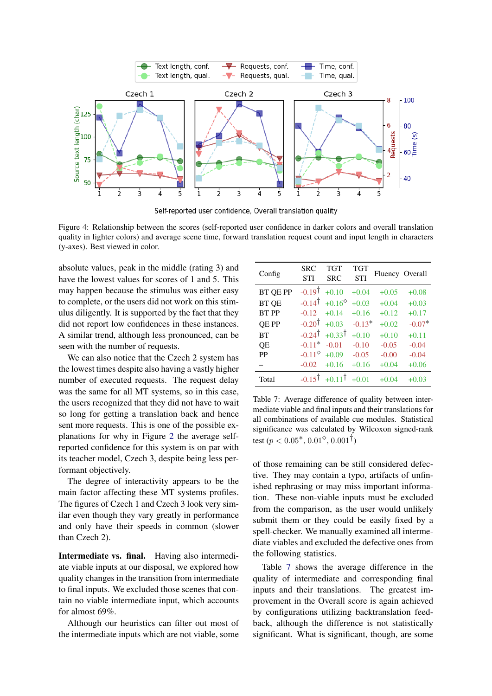<span id="page-7-0"></span>

Self-reported user confidence, Overall translation quality

Figure 4: Relationship between the scores (self-reported user confidence in darker colors and overall translation quality in lighter colors) and average scene time, forward translation request count and input length in characters (y-axes). Best viewed in color.

absolute values, peak in the middle (rating 3) and have the lowest values for scores of 1 and 5. This may happen because the stimulus was either easy to complete, or the users did not work on this stimulus diligently. It is supported by the fact that they did not report low confidences in these instances. A similar trend, although less pronounced, can be seen with the number of requests.

We can also notice that the Czech 2 system has the lowest times despite also having a vastly higher number of executed requests. The request delay was the same for all MT systems, so in this case, the users recognized that they did not have to wait so long for getting a translation back and hence sent more requests. This is one of the possible explanations for why in Figure [2](#page-5-2) the average selfreported confidence for this system is on par with its teacher model, Czech 3, despite being less performant objectively.

The degree of interactivity appears to be the main factor affecting these MT systems profiles. The figures of Czech 1 and Czech 3 look very similar even though they vary greatly in performance and only have their speeds in common (slower than Czech 2).

Intermediate vs. final. Having also intermediate viable inputs at our disposal, we explored how quality changes in the transition from intermediate to final inputs. We excluded those scenes that contain no viable intermediate input, which accounts for almost 69%.

Although our heuristics can filter out most of the intermediate inputs which are not viable, some

<span id="page-7-1"></span>

| Config       | <b>SRC</b><br><b>STI</b> | <b>TGT</b><br><b>SRC</b> | <b>TGT</b><br><b>STI</b> | Fluency Overall |          |
|--------------|--------------------------|--------------------------|--------------------------|-----------------|----------|
| BT QE PP     | $-0.19^{\dagger}$        | $+0.10$                  | $+0.04$                  | $+0.05$         | $+0.08$  |
| <b>BT QE</b> | $-0.14^{\dagger}$        | $+0.16^{\circ}$          | $+0.03$                  | $+0.04$         | $+0.03$  |
| <b>BT PP</b> | $-0.12$                  | $+0.14$                  | $+0.16$                  | $+0.12$         | $+0.17$  |
| <b>QE PP</b> | $-0.20^{\dagger}$        | $+0.03$                  | $-0.13*$                 | $+0.02$         | $-0.07*$ |
| <b>BT</b>    | $-0.24^{\dagger}$        | $+0.33^{\dagger}$        | $+0.10$                  | $+0.10$         | $+0.11$  |
| QE           | $-0.11*$                 | $-0.01$                  | $-0.10$                  | $-0.05$         | $-0.04$  |
| PP           | $-0.11^{\circ}$          | $+0.09$                  | $-0.05$                  | $-0.00$         | $-0.04$  |
|              | $-0.02$                  | $+0.16$                  | $+0.16$                  | $+0.04$         | $+0.06$  |
| Total        | $-0.15^{\dagger}$        | $+0.11$                  | $+0.01$                  | $+0.04$         | $+0.03$  |

Table 7: Average difference of quality between intermediate viable and final inputs and their translations for all combinations of available cue modules. Statistical significance was calculated by Wilcoxon signed-rank test ( $p < 0.05^*$ ,  $0.01^\circ$ ,  $0.001^\dagger$ )

of those remaining can be still considered defective. They may contain a typo, artifacts of unfinished rephrasing or may miss important information. These non-viable inputs must be excluded from the comparison, as the user would unlikely submit them or they could be easily fixed by a spell-checker. We manually examined all intermediate viables and excluded the defective ones from the following statistics.

Table [7](#page-7-1) shows the average difference in the quality of intermediate and corresponding final inputs and their translations. The greatest improvement in the Overall score is again achieved by configurations utilizing backtranslation feedback, although the difference is not statistically significant. What is significant, though, are some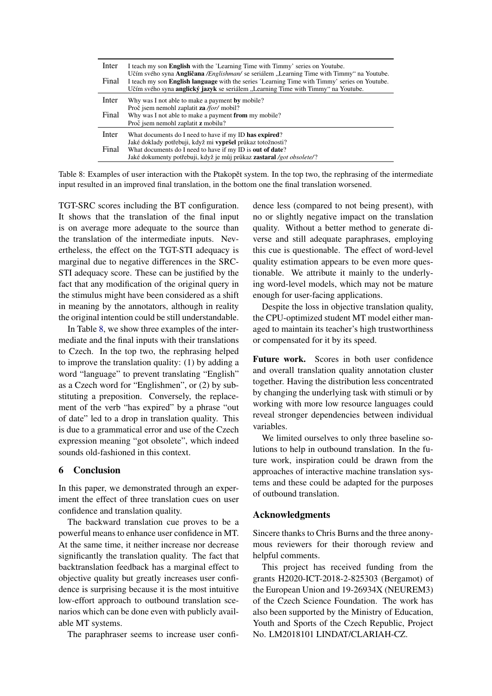<span id="page-8-1"></span>

| Inter | I teach my son <b>English</b> with the 'Learning Time with Timmy' series on Youtube.<br>Učím svého syna <b>Angličana</b> <i>/Englishman</i> / se seriálem "Learning Time with Timmy" na Youtube. |
|-------|--------------------------------------------------------------------------------------------------------------------------------------------------------------------------------------------------|
| Final | I teach my son English language with the series 'Learning Time with Timmy' series on Youtube.<br>Učím svého syna anglický jazyk se seriálem "Learning Time with Timmy" na Youtube.               |
| Inter | Why was I not able to make a payment by mobile?                                                                                                                                                  |
|       | Proč jsem nemohl zaplatit za /for/ mobil?                                                                                                                                                        |
| Final | Why was I not able to make a payment from my mobile?                                                                                                                                             |
|       | Proč jsem nemohl zaplatit z mobilu?                                                                                                                                                              |
| Inter | What documents do I need to have if my ID has expired?                                                                                                                                           |
|       | Jaké doklady potřebuji, když mi vypršel průkaz totožnosti?                                                                                                                                       |
| Final | What documents do I need to have if my ID is out of date?                                                                                                                                        |
|       | Jaké dokumenty potřebuji, když je můj průkaz zastaral /got obsolete/?                                                                                                                            |
|       |                                                                                                                                                                                                  |

Table 8: Examples of user interaction with the Ptakopět system. In the top two, the rephrasing of the intermediate input resulted in an improved final translation, in the bottom one the final translation worsened.

TGT-SRC scores including the BT configuration. It shows that the translation of the final input is on average more adequate to the source than the translation of the intermediate inputs. Nevertheless, the effect on the TGT-STI adequacy is marginal due to negative differences in the SRC-STI adequacy score. These can be justified by the fact that any modification of the original query in the stimulus might have been considered as a shift in meaning by the annotators, although in reality the original intention could be still understandable.

In Table [8,](#page-8-1) we show three examples of the intermediate and the final inputs with their translations to Czech. In the top two, the rephrasing helped to improve the translation quality: (1) by adding a word "language" to prevent translating "English" as a Czech word for "Englishmen", or (2) by substituting a preposition. Conversely, the replacement of the verb "has expired" by a phrase "out of date" led to a drop in translation quality. This is due to a grammatical error and use of the Czech expression meaning "got obsolete", which indeed sounds old-fashioned in this context.

## <span id="page-8-0"></span>6 Conclusion

In this paper, we demonstrated through an experiment the effect of three translation cues on user confidence and translation quality.

The backward translation cue proves to be a powerful means to enhance user confidence in MT. At the same time, it neither increase nor decrease significantly the translation quality. The fact that backtranslation feedback has a marginal effect to objective quality but greatly increases user confidence is surprising because it is the most intuitive low-effort approach to outbound translation scenarios which can be done even with publicly available MT systems.

The paraphraser seems to increase user confi-

dence less (compared to not being present), with no or slightly negative impact on the translation quality. Without a better method to generate diverse and still adequate paraphrases, employing this cue is questionable. The effect of word-level quality estimation appears to be even more questionable. We attribute it mainly to the underlying word-level models, which may not be mature enough for user-facing applications.

Despite the loss in objective translation quality, the CPU-optimized student MT model either managed to maintain its teacher's high trustworthiness or compensated for it by its speed.

Future work. Scores in both user confidence and overall translation quality annotation cluster together. Having the distribution less concentrated by changing the underlying task with stimuli or by working with more low resource languages could reveal stronger dependencies between individual variables.

We limited ourselves to only three baseline solutions to help in outbound translation. In the future work, inspiration could be drawn from the approaches of interactive machine translation systems and these could be adapted for the purposes of outbound translation.

## Acknowledgments

Sincere thanks to Chris Burns and the three anonymous reviewers for their thorough review and helpful comments.

This project has received funding from the grants H2020-ICT-2018-2-825303 (Bergamot) of the European Union and 19-26934X (NEUREM3) of the Czech Science Foundation. The work has also been supported by the Ministry of Education, Youth and Sports of the Czech Republic, Project No. LM2018101 LINDAT/CLARIAH-CZ.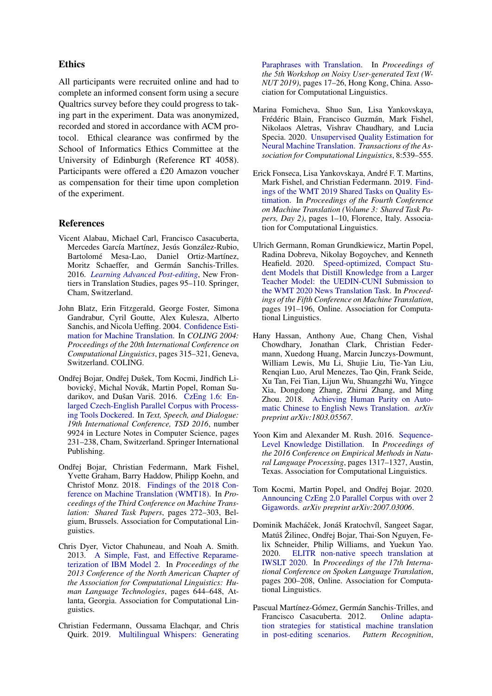## Ethics

All participants were recruited online and had to complete an informed consent form using a secure Qualtrics survey before they could progress to taking part in the experiment. Data was anonymized, recorded and stored in accordance with ACM protocol. Ethical clearance was confirmed by the School of Informatics Ethics Committee at the University of Edinburgh (Reference RT 4058). Participants were offered a £20 Amazon voucher as compensation for their time upon completion of the experiment.

## References

- <span id="page-9-2"></span>Vicent Alabau, Michael Carl, Francisco Casacuberta, Mercedes García Martínez, Jesús González-Rubio, Bartolomé Mesa-Lao, Daniel Ortiz-Martínez, Moritz Schaeffer, and Germán Sanchis-Trilles. 2016. *[Learning Advanced Post-editing](https://doi.org/10.1007/978-3-319-20358-4_5)*, New Frontiers in Translation Studies, pages 95–110. Springer, Cham, Switzerland.
- <span id="page-9-7"></span>John Blatz, Erin Fitzgerald, George Foster, Simona Gandrabur, Cyril Goutte, Alex Kulesza, Alberto Sanchis, and Nicola Ueffing. 2004. [Confidence Esti](https://www.aclweb.org/anthology/C04-1046)[mation for Machine Translation.](https://www.aclweb.org/anthology/C04-1046) In *COLING 2004: Proceedings of the 20th International Conference on Computational Linguistics*, pages 315–321, Geneva, Switzerland. COLING.
- <span id="page-9-6"></span>Ondřej Bojar, Ondřej Dušek, Tom Kocmi, Jindřich Libovický, Michal Novák, Martin Popel, Roman Sudarikov, and Dušan Variš. 2016. [CzEng 1.6: En](https://doi.org/10.1007/978-3-319-45510-5_27)[larged Czech-English Parallel Corpus with Process](https://doi.org/10.1007/978-3-319-45510-5_27)[ing Tools Dockered.](https://doi.org/10.1007/978-3-319-45510-5_27) In *Text, Speech, and Dialogue: 19th International Conference, TSD 2016*, number 9924 in Lecture Notes in Computer Science, pages 231–238, Cham, Switzerland. Springer International Publishing.
- <span id="page-9-4"></span>Ondřej Bojar, Christian Federmann, Mark Fishel, Yvette Graham, Barry Haddow, Philipp Koehn, and Christof Monz. 2018. [Findings of the 2018 Con](https://doi.org/10.18653/v1/W18-6401)[ference on Machine Translation \(WMT18\).](https://doi.org/10.18653/v1/W18-6401) In *Proceedings of the Third Conference on Machine Translation: Shared Task Papers*, pages 272–303, Belgium, Brussels. Association for Computational Linguistics.
- <span id="page-9-9"></span>Chris Dyer, Victor Chahuneau, and Noah A. Smith. 2013. [A Simple, Fast, and Effective Reparame](https://www.aclweb.org/anthology/N13-1073)[terization of IBM Model 2.](https://www.aclweb.org/anthology/N13-1073) In *Proceedings of the 2013 Conference of the North American Chapter of the Association for Computational Linguistics: Human Language Technologies*, pages 644–648, Atlanta, Georgia. Association for Computational Linguistics.
- <span id="page-9-12"></span>Christian Federmann, Oussama Elachqar, and Chris Quirk. 2019. [Multilingual Whispers: Generating](https://doi.org/10.18653/v1/D19-5503)

[Paraphrases with Translation.](https://doi.org/10.18653/v1/D19-5503) In *Proceedings of the 5th Workshop on Noisy User-generated Text (W-NUT 2019)*, pages 17–26, Hong Kong, China. Association for Computational Linguistics.

- <span id="page-9-8"></span>Marina Fomicheva, Shuo Sun, Lisa Yankovskaya, Frédéric Blain, Francisco Guzmán, Mark Fishel, Nikolaos Aletras, Vishrav Chaudhary, and Lucia Specia. 2020. [Unsupervised Quality Estimation for](https://doi.org/10.1162/tacl_a_00330) [Neural Machine Translation.](https://doi.org/10.1162/tacl_a_00330) *Transactions of the Association for Computational Linguistics*, 8:539–555.
- <span id="page-9-11"></span>Erick Fonseca, Lisa Yankovskaya, André F. T. Martins, Mark Fishel, and Christian Federmann. 2019. [Find](https://doi.org/10.18653/v1/W19-5401)[ings of the WMT 2019 Shared Tasks on Quality Es](https://doi.org/10.18653/v1/W19-5401)[timation.](https://doi.org/10.18653/v1/W19-5401) In *Proceedings of the Fourth Conference on Machine Translation (Volume 3: Shared Task Papers, Day 2)*, pages 1–10, Florence, Italy. Association for Computational Linguistics.
- <span id="page-9-3"></span>Ulrich Germann, Roman Grundkiewicz, Martin Popel, Radina Dobreva, Nikolay Bogoychev, and Kenneth Heafield. 2020. [Speed-optimized, Compact Stu](https://www.aclweb.org/anthology/2020.wmt-1.17)[dent Models that Distill Knowledge from a Larger](https://www.aclweb.org/anthology/2020.wmt-1.17) [Teacher Model: the UEDIN-CUNI Submission to](https://www.aclweb.org/anthology/2020.wmt-1.17) [the WMT 2020 News Translation Task.](https://www.aclweb.org/anthology/2020.wmt-1.17) In *Proceedings of the Fifth Conference on Machine Translation*, pages 191–196, Online. Association for Computational Linguistics.
- <span id="page-9-0"></span>Hany Hassan, Anthony Aue, Chang Chen, Vishal Chowdhary, Jonathan Clark, Christian Federmann, Xuedong Huang, Marcin Junczys-Dowmunt, William Lewis, Mu Li, Shujie Liu, Tie-Yan Liu, Renqian Luo, Arul Menezes, Tao Qin, Frank Seide, Xu Tan, Fei Tian, Lijun Wu, Shuangzhi Wu, Yingce Xia, Dongdong Zhang, Zhirui Zhang, and Ming Zhou. 2018. [Achieving Human Parity on Auto](https://arxiv.org/abs/1803.05567)[matic Chinese to English News Translation.](https://arxiv.org/abs/1803.05567) *arXiv preprint arXiv:1803.05567*.
- <span id="page-9-5"></span>Yoon Kim and Alexander M. Rush. 2016. [Sequence-](https://doi.org/10.18653/v1/D16-1139)[Level Knowledge Distillation.](https://doi.org/10.18653/v1/D16-1139) In *Proceedings of the 2016 Conference on Empirical Methods in Natural Language Processing*, pages 1317–1327, Austin, Texas. Association for Computational Linguistics.
- <span id="page-9-10"></span>Tom Kocmi, Martin Popel, and Ondřej Bojar. 2020. [Announcing CzEng 2.0 Parallel Corpus with over 2](https://arxiv.org/abs/2007.03006) [Gigawords.](https://arxiv.org/abs/2007.03006) *arXiv preprint arXiv:2007.03006*.
- <span id="page-9-13"></span>Dominik Macháček, Jonáš Kratochvíl, Sangeet Sagar, Matúš Žilinec, Ondřej Bojar, Thai-Son Nguyen, Felix Schneider, Philip Williams, and Yuekun Yao. 2020. [ELITR non-native speech translation at](https://doi.org/10.18653/v1/2020.iwslt-1.25) [IWSLT 2020.](https://doi.org/10.18653/v1/2020.iwslt-1.25) In *Proceedings of the 17th International Conference on Spoken Language Translation*, pages 200–208, Online. Association for Computational Linguistics.
- <span id="page-9-1"></span>Pascual Martínez-Gómez, Germán Sanchis-Trilles, and Francisco Casacuberta. 2012. [Online adapta](https://doi.org/10.1016/j.patcog.2012.01.011)[tion strategies for statistical machine translation](https://doi.org/10.1016/j.patcog.2012.01.011) [in post-editing scenarios.](https://doi.org/10.1016/j.patcog.2012.01.011) *Pattern Recognition*,